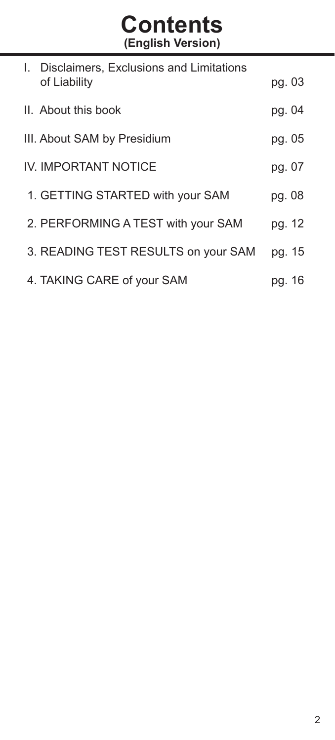# **Contents (English Version)**

| L. | Disclaimers, Exclusions and Limitations<br>of Liability | pg. 03 |
|----|---------------------------------------------------------|--------|
|    | II. About this book                                     | pg. 04 |
|    | III. About SAM by Presidium                             | pg. 05 |
|    | IV. IMPORTANT NOTICE                                    | pg. 07 |
|    | 1. GETTING STARTED with your SAM                        | pg. 08 |
|    | 2. PERFORMING A TEST with your SAM                      | pg. 12 |
|    | 3. READING TEST RESULTS on your SAM                     | pg. 15 |
|    | 4. TAKING CARE of your SAM                              | pg. 16 |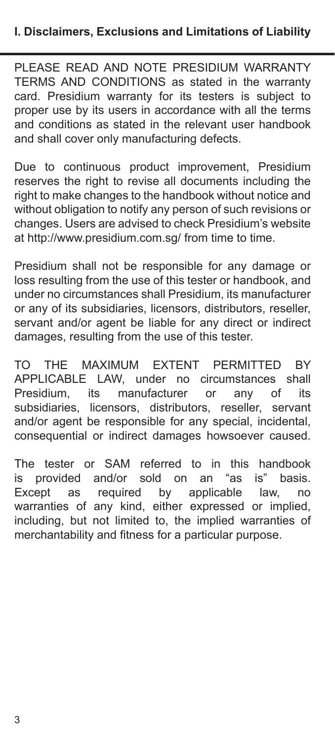PLEASE READ AND NOTE PRESIDIUM WARRANTY TERMS AND CONDITIONS as stated in the warranty card. Presidium warranty for its testers is subject to proper use by its users in accordance with all the terms and conditions as stated in the relevant user handbook and shall cover only manufacturing defects.

Due to continuous product improvement, Presidium reserves the right to revise all documents including the right to make changes to the handbook without notice and without obligation to notify any person of such revisions or changes. Users are advised to check Presidium's website at http://www.presidium.com.sg/ from time to time.

Presidium shall not be responsible for any damage or loss resulting from the use of this tester or handbook, and under no circumstances shall Presidium, its manufacturer or any of its subsidiaries, licensors, distributors, reseller, servant and/or agent be liable for any direct or indirect damages, resulting from the use of this tester.

TO THE MAXIMUM EXTENT PERMITTED BY APPLICABLE LAW, under no circumstances shall<br>Presidium, its manufacturer or any of its Presidium, its manufacturer or any of its subsidiaries, licensors, distributors, reseller, servant and/or agent be responsible for any special, incidental, consequential or indirect damages howsoever caused.

The tester or SAM referred to in this handbook<br>is provided and/or sold on an "as is" basis is provided and/or sold on an<br>Except as reguired by appli Except as required by applicable law, no warranties of any kind, either expressed or implied, including, but not limited to, the implied warranties of merchantability and fitness for a particular purpose.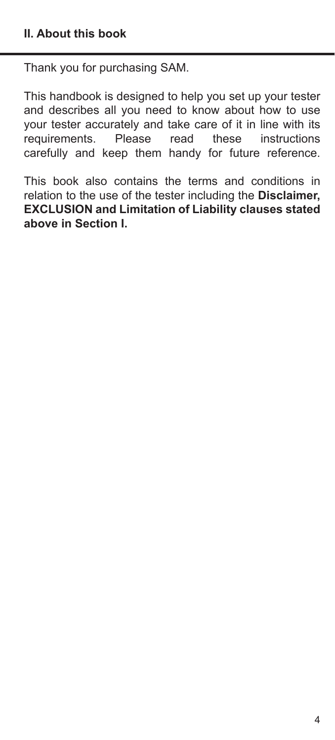Thank you for purchasing SAM.

This handbook is designed to help you set up your tester and describes all you need to know about how to use your tester accurately and take care of it in line with its<br>requirements. Please read these instructions requirements. Please read carefully and keep them handy for future reference.

This book also contains the terms and conditions in relation to the use of the tester including the **Disclaimer, EXCLUSION and Limitation of Liability clauses stated above in Section I.**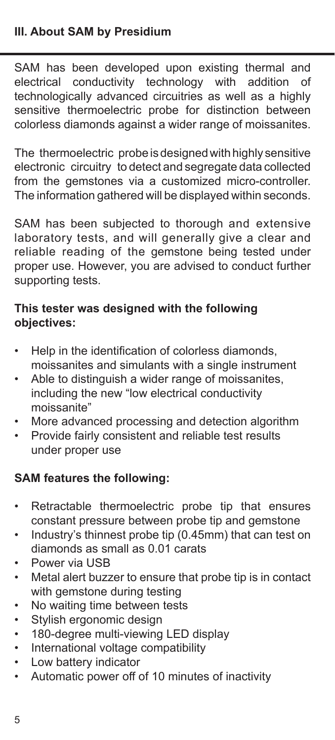SAM has been developed upon existing thermal and electrical conductivity technology with addition of technologically advanced circuitries as well as a highly sensitive thermoelectric probe for distinction between colorless diamonds against a wider range of moissanites.

The thermoelectric probe is designed with highly sensitive electronic circuitry to detect and segregate data collected from the gemstones via a customized micro-controller. The information gathered will be displayed within seconds.

SAM has been subjected to thorough and extensive laboratory tests, and will generally give a clear and reliable reading of the gemstone being tested under proper use. However, you are advised to conduct further supporting tests.

# **This tester was designed with the following objectives:**

- Help in the identification of colorless diamonds. moissanites and simulants with a single instrument
- Able to distinguish a wider range of moissanites, including the new "low electrical conductivity moissanite"
- More advanced processing and detection algorithm<br>• Provide fairly consistent and reliable test results
- Provide fairly consistent and reliable test results under proper use

# **SAM features the following:**

- Retractable thermoelectric probe tip that ensures constant pressure between probe tip and gemstone
- Industry's thinnest probe tip (0.45mm) that can test on diamonds as small as 0.01 carats
- Power via USB
- Metal alert buzzer to ensure that probe tip is in contact with gemstone during testing
- No waiting time between tests
- Stylish ergonomic design
- 180-degree multi-viewing LED display<br>• International voltage compatibility
- International voltage compatibility
- Low battery indicator
- Automatic power off of 10 minutes of inactivity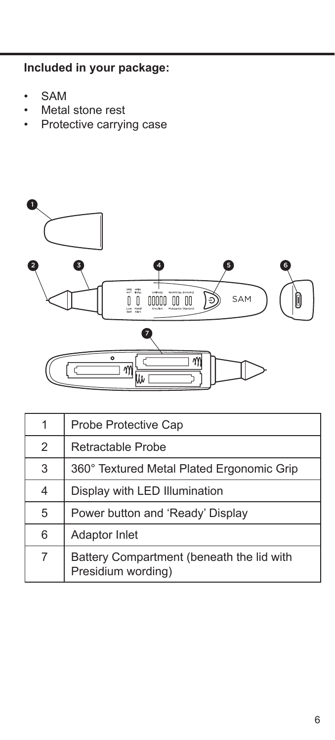**Included in your package:**

- SAM
- Metal stone rest
- Protective carrying case



| 1              | Probe Protective Cap                                            |
|----------------|-----------------------------------------------------------------|
| $\mathfrak{D}$ | Retractable Probe                                               |
| 3              | 360° Textured Metal Plated Ergonomic Grip                       |
| 4              | Display with LED Illumination                                   |
| 5              | Power button and 'Ready' Display                                |
| 6              | <b>Adaptor Inlet</b>                                            |
| 7              | Battery Compartment (beneath the lid with<br>Presidium wording) |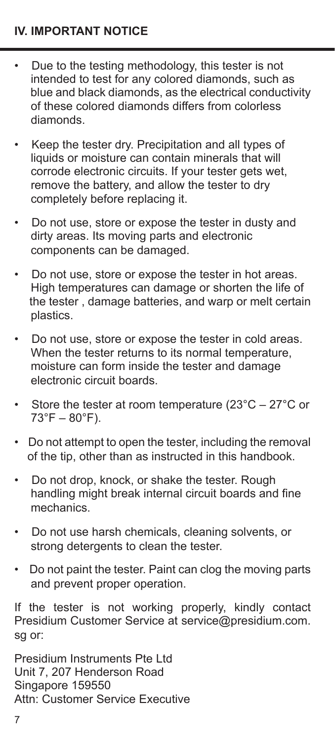## **IV. IMPORTANT NOTICE**

- Due to the testing methodology, this tester is not intended to test for any colored diamonds, such as blue and black diamonds, as the electrical conductivity of these colored diamonds differs from colorless diamonds.
- Keep the tester dry. Precipitation and all types of liquids or moisture can contain minerals that will corrode electronic circuits. If your tester gets wet, remove the battery, and allow the tester to dry completely before replacing it.
- Do not use, store or expose the tester in dusty and dirty areas. Its moving parts and electronic components can be damaged.
- Do not use, store or expose the tester in hot areas. High temperatures can damage or shorten the life of the tester , damage batteries, and warp or melt certain plastics.
- Do not use, store or expose the tester in cold areas. When the tester returns to its normal temperature. moisture can form inside the tester and damage electronic circuit boards.
- Store the tester at room temperature (23°C 27°C or  $73^{\circ}F - 80^{\circ}F$ ).
- Do not attempt to open the tester, including the removal of the tip, other than as instructed in this handbook.
- Do not drop, knock, or shake the tester. Rough handling might break internal circuit boards and fine mechanics.
- Do not use harsh chemicals, cleaning solvents, or strong detergents to clean the tester.
- Do not paint the tester. Paint can clog the moving parts and prevent proper operation.

If the tester is not working properly, kindly contact Presidium Customer Service at service@presidium.com. sg or:

Presidium Instruments Pte Ltd Unit 7, 207 Henderson Road Singapore 159550 Attn: Customer Service Executive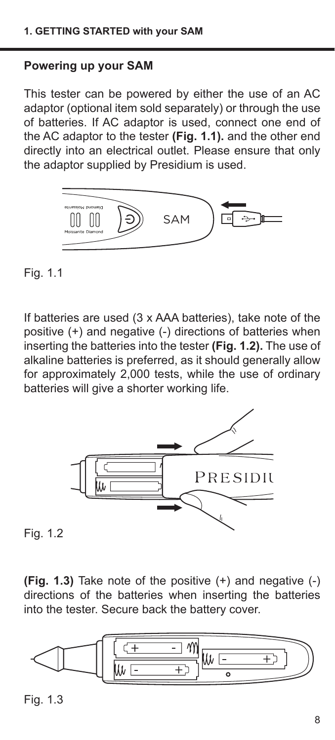## **Powering up your SAM**

This tester can be powered by either the use of an AC adaptor (optional item sold separately) or through the use of batteries. If AC adaptor is used, connect one end of the AC adaptor to the tester **(Fig. 1.1).** and the other end directly into an electrical outlet. Please ensure that only the adaptor supplied by Presidium is used.



Fig. 1.1

If batteries are used (3 x AAA batteries), take note of the positive (+) and negative (-) directions of batteries when inserting the batteries into the tester **(Fig. 1.2).** The use of alkaline batteries is preferred, as it should generally allow for approximately 2,000 tests, while the use of ordinary batteries will give a shorter working life.



Fig. 1.2

**(Fig. 1.3)** Take note of the positive (+) and negative (-) directions of the batteries when inserting the batteries into the tester. Secure back the battery cover.



Fig. 1.3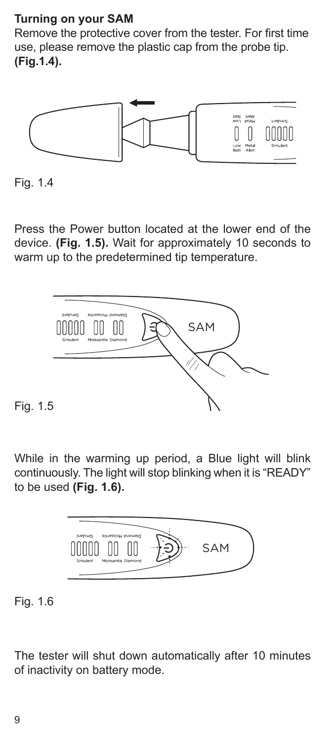# **Turning on your SAM**

Remove the protective cover from the tester. For first time use, please remove the plastic cap from the probe tip. **(Fig.1.4).** 



Fig. 1.4

Press the Power button located at the lower end of the device. **(Fig. 1.5).** Wait for approximately 10 seconds to warm up to the predetermined tip temperature.



Fig. 1.5

While in the warming up period, a Blue light will blink continuously. The light will stop blinking when it is "READY" to be used **(Fig. 1.6).**



Fig. 1.6

The tester will shut down automatically after 10 minutes of inactivity on battery mode.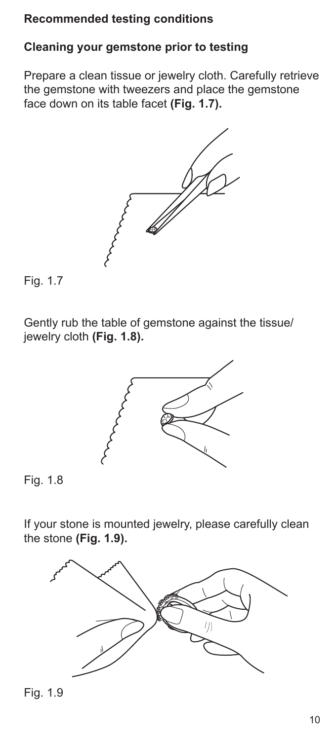## **Recommended testing conditions**

# **Cleaning your gemstone prior to testing**

Prepare a clean tissue or jewelry cloth. Carefully retrieve the gemstone with tweezers and place the gemstone face down on its table facet **(Fig. 1.7).**





Gently rub the table of gemstone against the tissue/ jewelry cloth **(Fig. 1.8).**



Fig. 1.8

If your stone is mounted jewelry, please carefully clean the stone **(Fig. 1.9).**



Fig. 1.9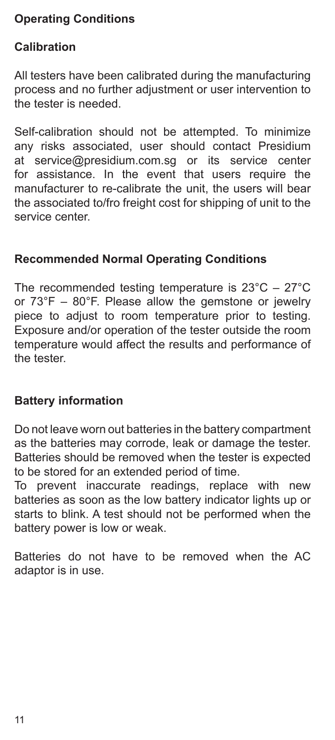# **Operating Conditions**

## **Calibration**

All testers have been calibrated during the manufacturing process and no further adjustment or user intervention to the tester is needed.

Self-calibration should not be attempted. To minimize any risks associated, user should contact Presidium at service@presidium.com.sg or its service center for assistance. In the event that users require the manufacturer to re-calibrate the unit, the users will bear the associated to/fro freight cost for shipping of unit to the service center.

## **Recommended Normal Operating Conditions**

The recommended testing temperature is 23°C – 27°C or 73°F – 80°F. Please allow the gemstone or jewelry piece to adjust to room temperature prior to testing. Exposure and/or operation of the tester outside the room temperature would affect the results and performance of the tester.

#### **Battery information**

Do not leave worn out batteries in the battery compartment as the batteries may corrode, leak or damage the tester. Batteries should be removed when the tester is expected to be stored for an extended period of time.

To prevent inaccurate readings, replace with new batteries as soon as the low battery indicator lights up or starts to blink. A test should not be performed when the battery power is low or weak.

Batteries do not have to be removed when the AC adaptor is in use.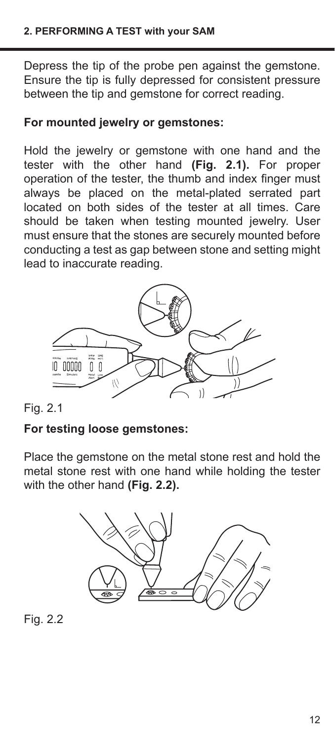Depress the tip of the probe pen against the gemstone. Ensure the tip is fully depressed for consistent pressure between the tip and gemstone for correct reading.

# **For mounted jewelry or gemstones:**

Hold the jewelry or gemstone with one hand and the tester with the other hand **(Fig. 2.1).** For proper operation of the tester, the thumb and index finger must always be placed on the metal-plated serrated part located on both sides of the tester at all times. Care should be taken when testing mounted jewelry. User must ensure that the stones are securely mounted before conducting a test as gap between stone and setting might lead to inaccurate reading.



Fig. 2.1

## **For testing loose gemstones:**

Place the gemstone on the metal stone rest and hold the metal stone rest with one hand while holding the tester with the other hand **(Fig. 2.2).** 



Fig. 2.2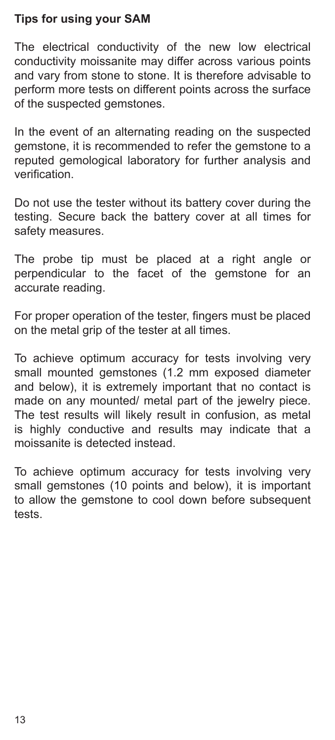# **Tips for using your SAM**

The electrical conductivity of the new low electrical conductivity moissanite may differ across various points and vary from stone to stone. It is therefore advisable to perform more tests on different points across the surface of the suspected gemstones.

In the event of an alternating reading on the suspected gemstone, it is recommended to refer the gemstone to a reputed gemological laboratory for further analysis and verification.

Do not use the tester without its battery cover during the testing. Secure back the battery cover at all times for safety measures.

The probe tip must be placed at a right angle or perpendicular to the facet of the gemstone for an accurate reading.

For proper operation of the tester, fingers must be placed on the metal grip of the tester at all times.

To achieve optimum accuracy for tests involving very small mounted gemstones (1.2 mm exposed diameter and below), it is extremely important that no contact is made on any mounted/ metal part of the jewelry piece. The test results will likely result in confusion, as metal is highly conductive and results may indicate that a moissanite is detected instead.

To achieve optimum accuracy for tests involving very small gemstones (10 points and below), it is important to allow the gemstone to cool down before subsequent tests.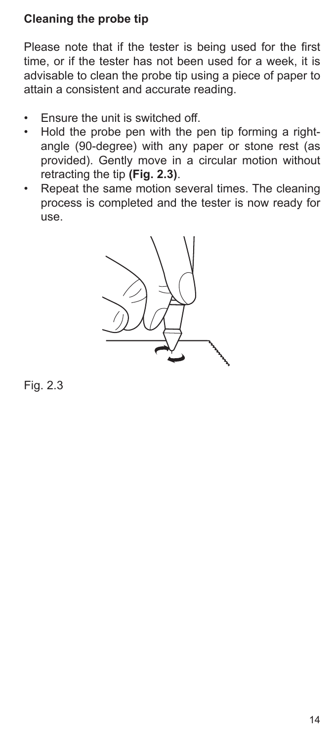# **Cleaning the probe tip**

Please note that if the tester is being used for the first time, or if the tester has not been used for a week, it is advisable to clean the probe tip using a piece of paper to attain a consistent and accurate reading.

- Ensure the unit is switched off.
- Hold the probe pen with the pen tip forming a rightangle (90-degree) with any paper or stone rest (as provided). Gently move in a circular motion without retracting the tip **(Fig. 2.3)**.
- Repeat the same motion several times. The cleaning process is completed and the tester is now ready for use.



Fig. 2.3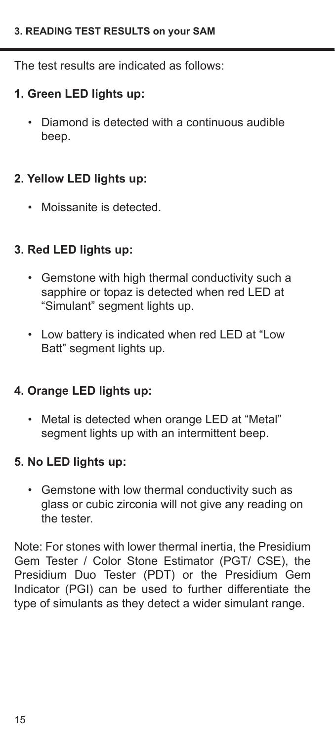The test results are indicated as follows:

## **1. Green LED lights up:**

• Diamond is detected with a continuous audible beep.

## **2. Yellow LED lights up:**

• Moissanite is detected.

# **3. Red LED lights up:**

- Gemstone with high thermal conductivity such a sapphire or topaz is detected when red LED at "Simulant" segment lights up.
- Low battery is indicated when red LED at "Low Batt" segment lights up.

## **4. Orange LED lights up:**

• Metal is detected when orange LED at "Metal" segment lights up with an intermittent beep.

#### **5. No LED lights up:**

• Gemstone with low thermal conductivity such as glass or cubic zirconia will not give any reading on the tester.

Note: For stones with lower thermal inertia, the Presidium Gem Tester / Color Stone Estimator (PGT/ CSE), the Presidium Duo Tester (PDT) or the Presidium Gem Indicator (PGI) can be used to further differentiate the type of simulants as they detect a wider simulant range.